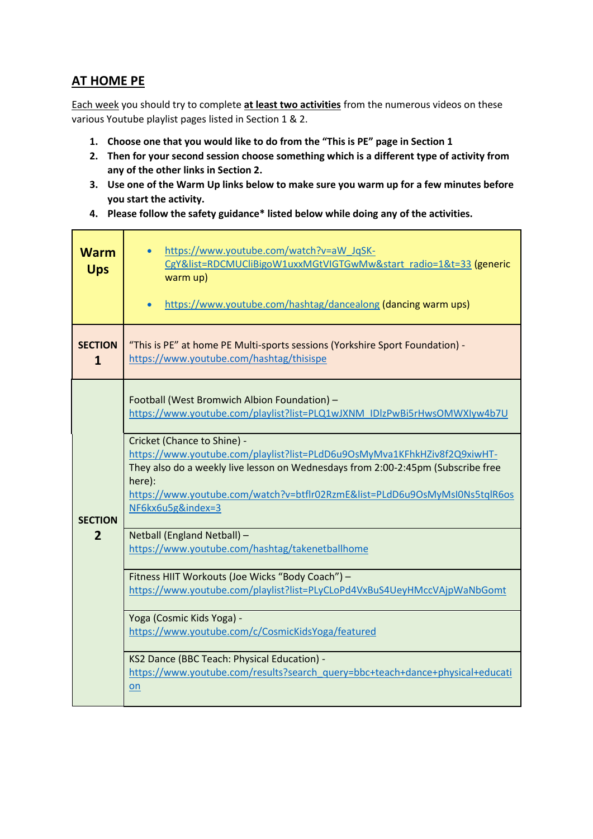#### **AT HOME PE**

Each week you should try to complete **at least two activities** from the numerous videos on these various Youtube playlist pages listed in Section 1 & 2.

- **1. Choose one that you would like to do from the "This is PE" page in Section 1**
- **2. Then for your second session choose something which is a different type of activity from any of the other links in Section 2.**
- **3. Use one of the Warm Up links below to make sure you warm up for a few minutes before you start the activity.**
- **4. Please follow the safety guidance\* listed below while doing any of the activities.**

| <b>Warm</b><br><b>Ups</b>      | https://www.youtube.com/watch?v=aW_JqSK-<br>CgY&list=RDCMUCliBigoW1uxxMGtVIGTGwMw&start radio=1&t=33 (generic<br>warm up)<br>https://www.youtube.com/hashtag/dancealong (dancing warm ups)                                                                                                               |
|--------------------------------|----------------------------------------------------------------------------------------------------------------------------------------------------------------------------------------------------------------------------------------------------------------------------------------------------------|
| <b>SECTION</b><br>$\mathbf{1}$ | "This is PE" at home PE Multi-sports sessions (Yorkshire Sport Foundation) -<br>https://www.youtube.com/hashtag/thisispe                                                                                                                                                                                 |
|                                | Football (West Bromwich Albion Foundation) -<br>https://www.youtube.com/playlist?list=PLQ1wJXNM_IDlzPwBi5rHwsOMWXIyw4b7U                                                                                                                                                                                 |
| <b>SECTION</b>                 | Cricket (Chance to Shine) -<br>https://www.youtube.com/playlist?list=PLdD6u9OsMyMva1KFhkHZiv8f2Q9xiwHT-<br>They also do a weekly live lesson on Wednesdays from 2:00-2:45pm (Subscribe free<br>here):<br>https://www.youtube.com/watch?v=btflr02RzmE&list=PLdD6u9OsMyMsI0Ns5tqlR6os<br>NF6kx6u5g&index=3 |
| $\overline{2}$                 | Netball (England Netball) -<br>https://www.youtube.com/hashtag/takenetballhome                                                                                                                                                                                                                           |
|                                | Fitness HIIT Workouts (Joe Wicks "Body Coach") -<br>https://www.youtube.com/playlist?list=PLyCLoPd4VxBuS4UeyHMccVAjpWaNbGomt                                                                                                                                                                             |
|                                | Yoga (Cosmic Kids Yoga) -<br>https://www.youtube.com/c/CosmicKidsYoga/featured                                                                                                                                                                                                                           |
|                                | KS2 Dance (BBC Teach: Physical Education) -<br>https://www.youtube.com/results?search_query=bbc+teach+dance+physical+educati<br>on                                                                                                                                                                       |